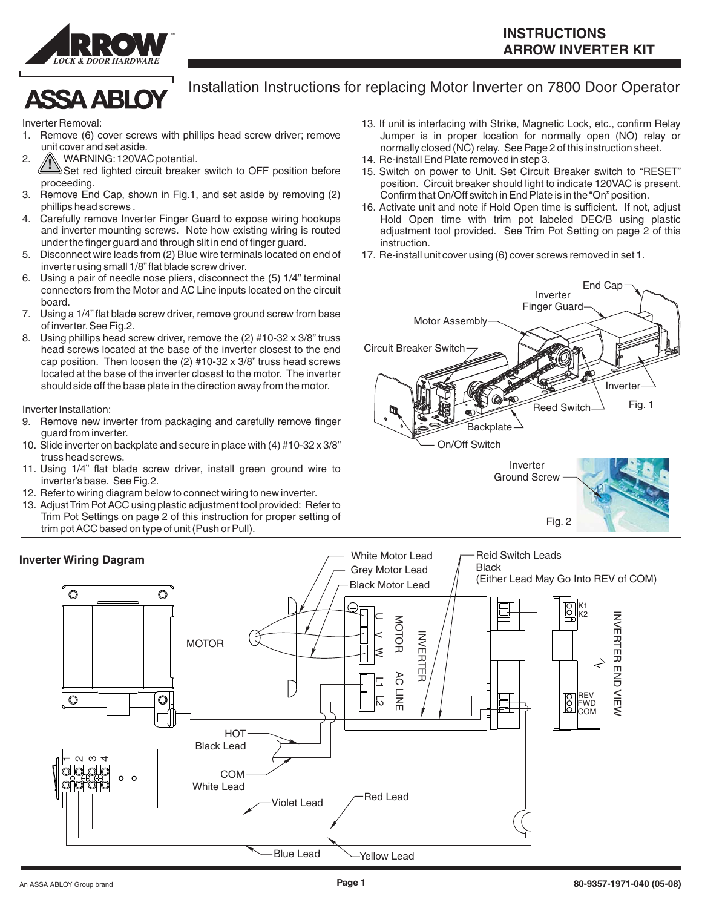

## **ASSA ABLOY**

## Installation Instructions for replacing Motor Inverter on 7800 Door Operator

Inverter Removal:

- 1. Remove (6) cover screws with phillips head screw driver; remove unit cover and set aside.
- **!** 2. WARNING:120VAC potential.
	- Set red lighted circuit breaker switch to OFF position before proceeding.
- 3. Remove End Cap, shown in Fig.1, and set aside by removing (2) phillips head screws .
- 4. Carefully remove Inverter Finger Guard to expose wiring hookups and inverter mounting screws. Note how existing wiring is routed under the finger guard and through slit in end of finger guard.
- 5. Disconnect wire leads from (2) Blue wire terminals located on end of inverter using small 1/8"flat blade screw driver.
- 6. Using a pair of needle nose pliers, disconnect the (5) 1/4" terminal connectors from the Motor and AC Line inputs located on the circuit board.
- 7. Using a 1/4" flat blade screw driver, remove ground screw from base of inverter.See Fig.2.
- 8. Using phillips head screw driver, remove the (2) #10-32 x 3/8" truss head screws located at the base of the inverter closest to the end cap position. Then loosen the (2) #10-32 x 3/8" truss head screws located at the base of the inverter closest to the motor. The inverter should side off the base plate in the direction away from the motor.

Inverter Installation:

- 9. Remove new inverter from packaging and carefully remove finger guard from inverter.
- 10. Slide inverter on backplate and secure in place with (4) #10-32 x 3/8" truss head screws.
- 11. Using 1/4" flat blade screw driver, install green ground wire to inverter's base. See Fig.2.
- 12. Refer to wiring diagram below to connect wiring to new inverter.
- 13. Adjust Trim Pot ACC using plastic adjustment tool provided: Refer to Trim Pot Settings on page 2 of this instruction for proper setting of trim pot ACC based on type of unit (Push or Pull).
- 13. If unit is interfacing with Strike, Magnetic Lock, etc., confirm Relay Jumper is in proper location for normally open (NO) relay or normally closed (NC) relay. See Page 2 of this instruction sheet.
- 14. Re-install End Plate removed in step 3.
- 15. Switch on power to Unit. Set Circuit Breaker switch to "RESET" position. Circuit breaker should light to indicate 120VAC is present. Confirm that On/Off switch in End Plate is in the"On"position.
- 16. Activate unit and note if Hold Open time is sufficient. If not, adjust Hold Open time with trim pot labeled DEC/B using plastic adjustment tool provided. See Trim Pot Setting on page 2 of this instruction.
- 17. Re-install unit cover using (6) cover screws removed in set 1.